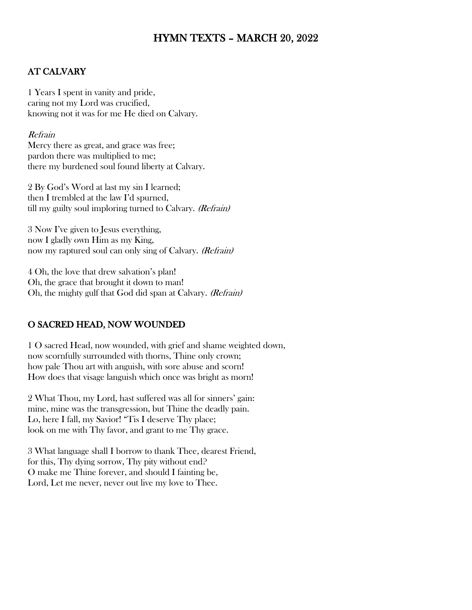# HYMN TEXTS – MARCH 20, 2022

### AT CALVARY

1 Years I spent in vanity and pride, caring not my Lord was crucified, knowing not it was for me He died on Calvary.

#### Refrain

Mercy there as great, and grace was free; pardon there was multiplied to me; there my burdened soul found liberty at Calvary.

2 By God's Word at last my sin I learned; then I trembled at the law I'd spurned, till my guilty soul imploring turned to Calvary. (Refrain)

3 Now I've given to Jesus everything, now I gladly own Him as my King, now my raptured soul can only sing of Calvary. (Refrain)

4 Oh, the love that drew salvation's plan! Oh, the grace that brought it down to man! Oh, the mighty gulf that God did span at Calvary. (Refrain)

## O SACRED HEAD, NOW WOUNDED

1 O sacred Head, now wounded, with grief and shame weighted down, now scornfully surrounded with thorns, Thine only crown; how pale Thou art with anguish, with sore abuse and scorn! How does that visage languish which once was bright as morn!

2 What Thou, my Lord, hast suffered was all for sinners' gain: mine, mine was the transgression, but Thine the deadly pain. Lo, here I fall, my Savior! "Tis I deserve Thy place; look on me with Thy favor, and grant to me Thy grace.

3 What language shall I borrow to thank Thee, dearest Friend, for this, Thy dying sorrow, Thy pity without end? O make me Thine forever, and should I fainting be, Lord, Let me never, never out live my love to Thee.